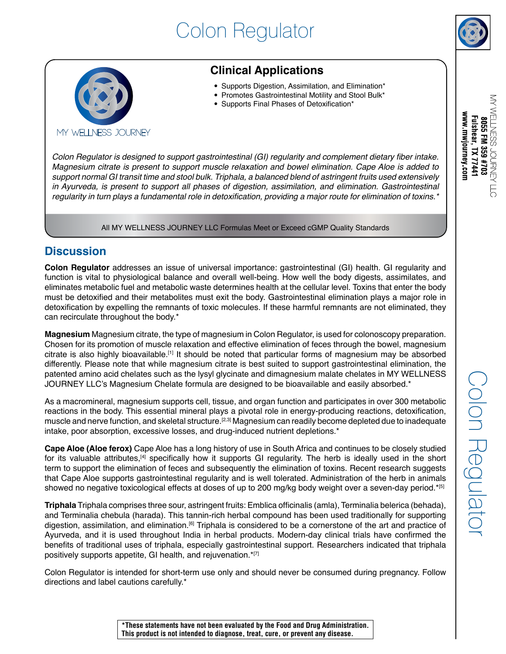# Colon Regulator



### **Clinical Applications**

- Supports Digestion, Assimilation, and Elimination\*
- Promotes Gastrointestinal Motility and Stool Bulk\*
- Supports Final Phases of Detoxification\*

Colon Regulator is designed to support gastrointestinal (GI) regularity and complement dietary fiber intake. Magnesium citrate is present to support muscle relaxation and bowel elimination. Cape Aloe is added to support normal GI transit time and stool bulk. Triphala, a balanced blend of astringent fruits used extensively in Ayurveda, is present to support all phases of digestion, assimilation, and elimination. Gastrointestinal regularity in turn plays a fundamental role in detoxification, providing a major route for elimination of toxins.\*

All MY WELLNESS JOURNEY LLC Formulas Meet or Exceed cGMP Quality Standards

#### **Discussion**

**Colon Regulator** addresses an issue of universal importance: gastrointestinal (GI) health. GI regularity and function is vital to physiological balance and overall well-being. How well the body digests, assimilates, and eliminates metabolic fuel and metabolic waste determines health at the cellular level. Toxins that enter the body must be detoxified and their metabolites must exit the body. Gastrointestinal elimination plays a major role in detoxification by expelling the remnants of toxic molecules. If these harmful remnants are not eliminated, they can recirculate throughout the body.\*

**Magnesium** Magnesium citrate, the type of magnesium in Colon Regulator, is used for colonoscopy preparation. Chosen for its promotion of muscle relaxation and effective elimination of feces through the bowel, magnesium citrate is also highly bioavailable.[1] It should be noted that particular forms of magnesium may be absorbed differently. Please note that while magnesium citrate is best suited to support gastrointestinal elimination, the patented amino acid chelates such as the lysyl glycinate and dimagnesium malate chelates in MY WELLNESS JOURNEY LLC's Magnesium Chelate formula are designed to be bioavailable and easily absorbed.\*

As a macromineral, magnesium supports cell, tissue, and organ function and participates in over 300 metabolic reactions in the body. This essential mineral plays a pivotal role in energy-producing reactions, detoxification, muscle and nerve function, and skeletal structure.[2,3] Magnesium can readily become depleted due to inadequate intake, poor absorption, excessive losses, and drug-induced nutrient depletions.\*

**Cape Aloe (Aloe ferox)** Cape Aloe has a long history of use in South Africa and continues to be closely studied for its valuable attributes,<sup>[4]</sup> specifically how it supports GI regularity. The herb is ideally used in the short term to support the elimination of feces and subsequently the elimination of toxins. Recent research suggests that Cape Aloe supports gastrointestinal regularity and is well tolerated. Administration of the herb in animals showed no negative toxicological effects at doses of up to 200 mg/kg body weight over a seven-day period.\*[5]

**Triphala** Triphala comprises three sour, astringent fruits: Emblica officinalis (amla), Terminalia belerica (behada), and Terminalia chebula (harada). This tannin-rich herbal compound has been used traditionally for supporting digestion, assimilation, and elimination.[6] Triphala is considered to be a cornerstone of the art and practice of Ayurveda, and it is used throughout India in herbal products. Modern-day clinical trials have confirmed the benefits of traditional uses of triphala, especially gastrointestinal support. Researchers indicated that triphala positively supports appetite, GI health, and rejuvenation.\*[7]

Colon Regulator is intended for short-term use only and should never be consumed during pregnancy. Follow directions and label cautions carefully.\*

**\*These statements have not been evaluated by the Food and Drug Administration. This product is not intended to diagnose, treat, cure, or prevent any disease.** 



MY WELLNESS JOURNEY LLO

www.mwjourney.com Fulshear, TX 77441 8055 FM 359 #703